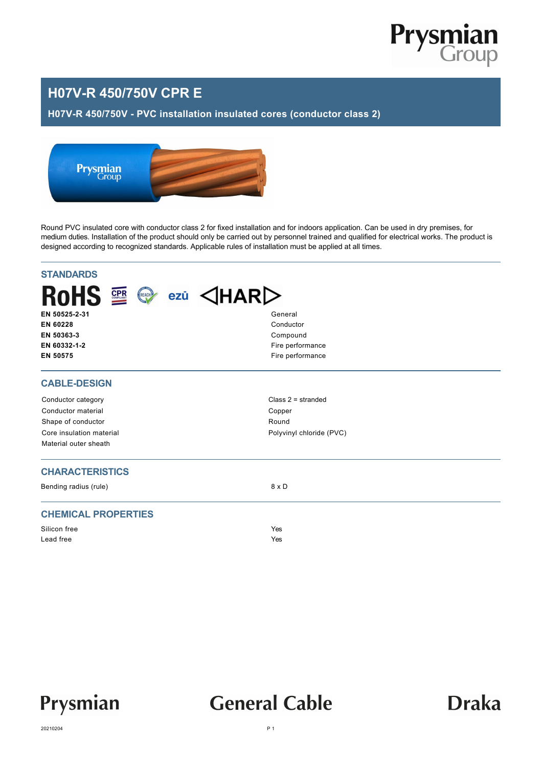

### **H07V-R 450/750V CPR E**

#### **H07V-R 450/750V - PVC installation insulated cores (conductor class 2)**



Round PVC insulated core with conductor class 2 for fixed installation and for indoors application. Can be used in dry premises, for medium duties. Installation of the product should only be carried out by personnel trained and qualified for electrical works. The product is designed according to recognized standards. Applicable rules of installation must be applied at all times.

| <b>STANDARDS</b>                                                          |                          |  |  |  |  |  |  |  |
|---------------------------------------------------------------------------|--------------------------|--|--|--|--|--|--|--|
| ROHS $\mathbb{R} \otimes \mathbb{R}$ ezü $\triangle$ HAR $\triangleright$ |                          |  |  |  |  |  |  |  |
| EN 50525-2-31                                                             | General                  |  |  |  |  |  |  |  |
| EN 60228<br>EN 50363-3                                                    | Conductor<br>Compound    |  |  |  |  |  |  |  |
| EN 60332-1-2                                                              | Fire performance         |  |  |  |  |  |  |  |
| EN 50575                                                                  | Fire performance         |  |  |  |  |  |  |  |
| <b>CABLE-DESIGN</b>                                                       |                          |  |  |  |  |  |  |  |
| Conductor category                                                        | Class $2 =$ stranded     |  |  |  |  |  |  |  |
| Conductor material                                                        | Copper                   |  |  |  |  |  |  |  |
| Shape of conductor                                                        | Round                    |  |  |  |  |  |  |  |
| Core insulation material                                                  | Polyvinyl chloride (PVC) |  |  |  |  |  |  |  |
| Material outer sheath                                                     |                          |  |  |  |  |  |  |  |
| <b>CHARACTERISTICS</b>                                                    |                          |  |  |  |  |  |  |  |
| Bending radius (rule)                                                     | $8 \times D$             |  |  |  |  |  |  |  |
| <b>CHEMICAL PROPERTIES</b>                                                |                          |  |  |  |  |  |  |  |
| Silicon free                                                              | Yes                      |  |  |  |  |  |  |  |
| Lead free                                                                 | Yes                      |  |  |  |  |  |  |  |
|                                                                           |                          |  |  |  |  |  |  |  |



## **General Cable**